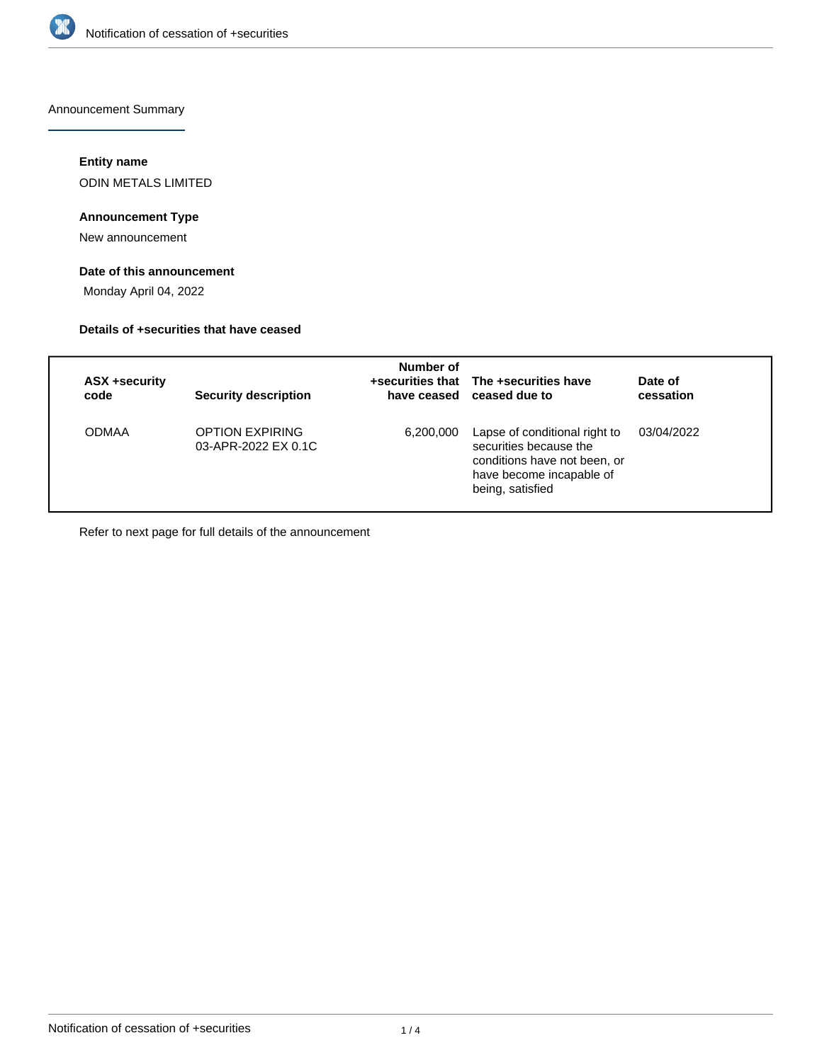

Announcement Summary

## **Entity name**

ODIN METALS LIMITED

# **Announcement Type**

New announcement

# **Date of this announcement**

Monday April 04, 2022

#### **Details of +securities that have ceased**

| ASX +security<br>code | <b>Security description</b>            | Number of | +securities that The +securities have<br>have ceased ceased due to                                                                      | Date of<br>cessation |
|-----------------------|----------------------------------------|-----------|-----------------------------------------------------------------------------------------------------------------------------------------|----------------------|
| <b>ODMAA</b>          | OPTION EXPIRING<br>03-APR-2022 EX 0.1C | 6,200,000 | Lapse of conditional right to<br>securities because the<br>conditions have not been, or<br>have become incapable of<br>being, satisfied | 03/04/2022           |

Refer to next page for full details of the announcement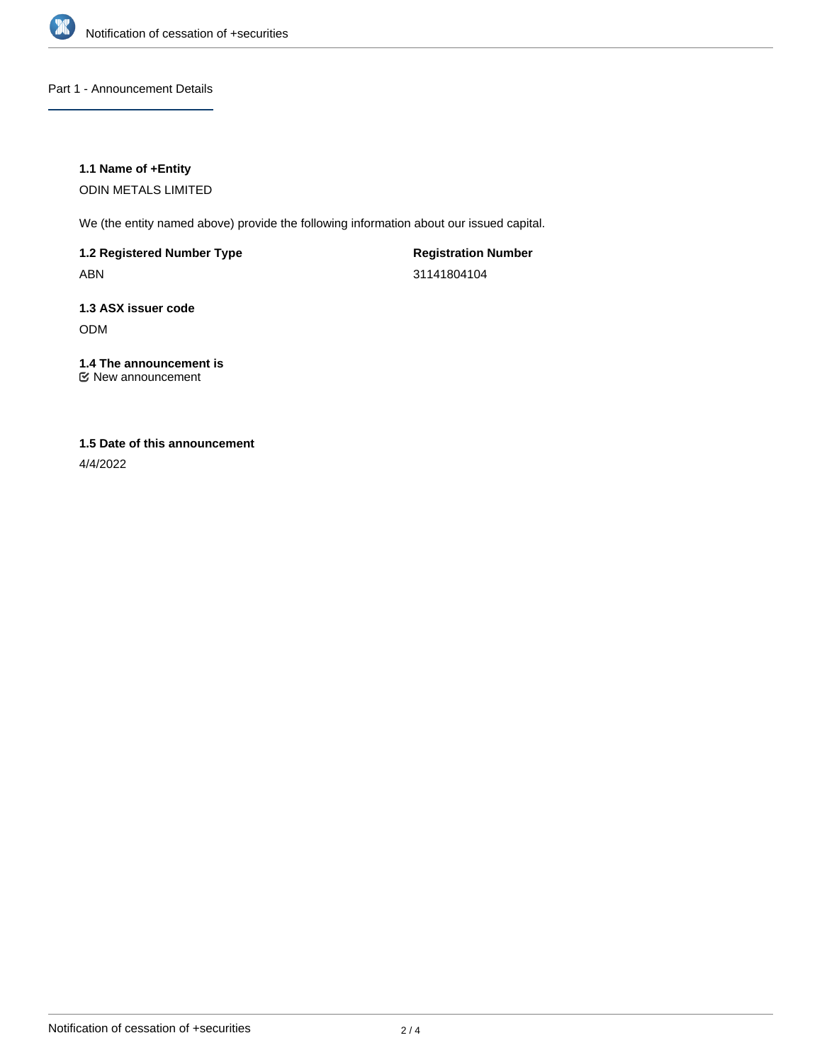

Part 1 - Announcement Details

## **1.1 Name of +Entity**

ODIN METALS LIMITED

We (the entity named above) provide the following information about our issued capital.

**1.2 Registered Number Type** ABN

**Registration Number** 31141804104

**1.3 ASX issuer code** ODM

# **1.4 The announcement is**

New announcement

# **1.5 Date of this announcement**

4/4/2022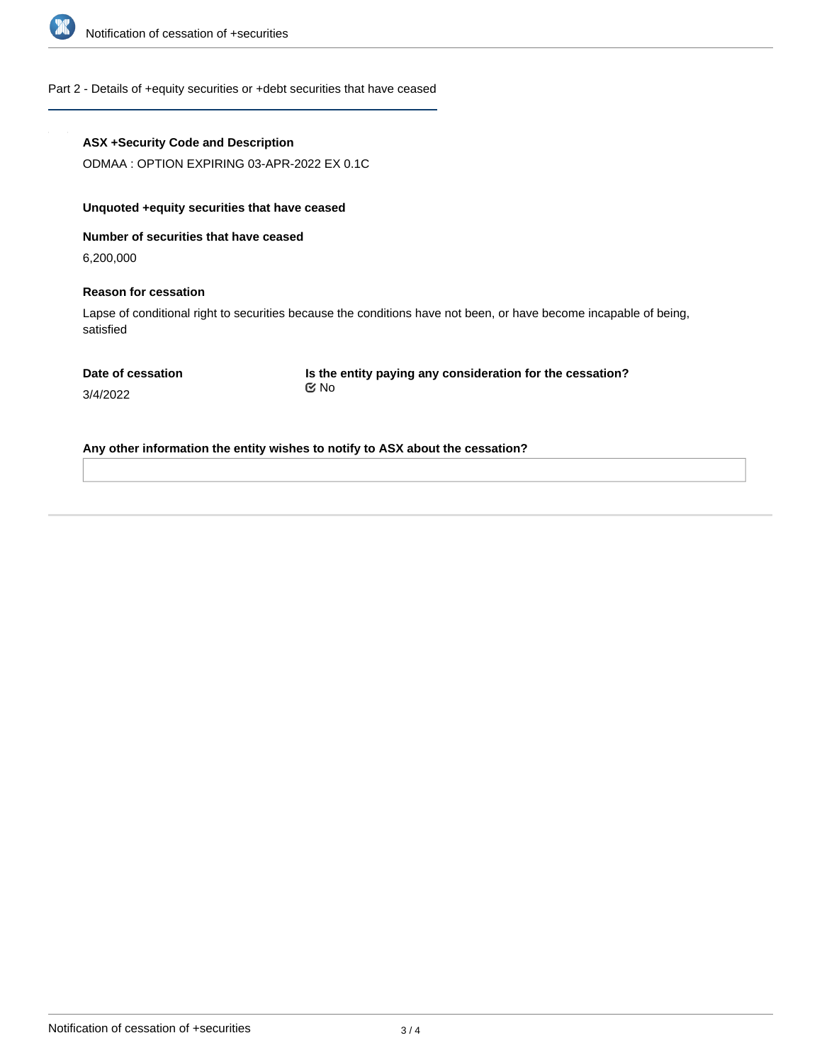

#### Part 2 - Details of +equity securities or +debt securities that have ceased

# **ASX +Security Code and Description**

ODMAA : OPTION EXPIRING 03-APR-2022 EX 0.1C

# **Unquoted +equity securities that have ceased**

**Number of securities that have ceased**

6,200,000

#### **Reason for cessation**

Lapse of conditional right to securities because the conditions have not been, or have become incapable of being, satisfied

3/4/2022

**Is the entity paying any consideration for the cessation?** No

**Any other information the entity wishes to notify to ASX about the cessation?**